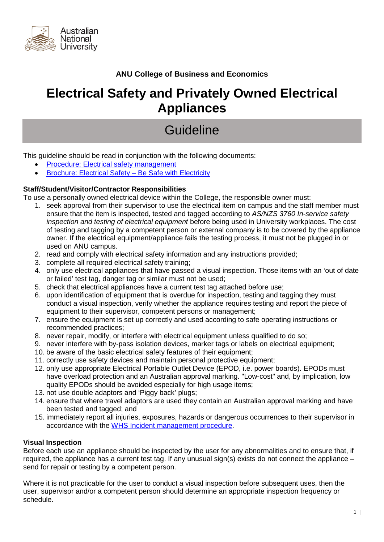

### **ANU College of Business and Economics**

## **Electrical Safety and Privately Owned Electrical Appliances**

# **Guideline**

This guideline should be read in conjunction with the following documents:

- [Procedure: Electrical safety management](https://policies.anu.edu.au/ppl/document/ANUP_000572)
- [Brochure: Electrical Safety –](http://prcms2.anu.edu.au:16200/cs/idcplg?IdcService=GET_FILE&allowInterrupt=1&RevisionSelectionMethod=LatestReleased&dDocName=ANUP_001076) Be Safe with Electricity

#### **Staff/Student/Visitor/Contractor Responsibilities**

To use a personally owned electrical device within the College, the responsible owner must:

- 1. seek approval from their supervisor to use the electrical item on campus and the staff member must ensure that the item is inspected, tested and tagged according to *AS/NZS 3760 In-service safety inspection and testing of electrical equipment* before being used in University workplaces. The cost of testing and tagging by a competent person or external company is to be covered by the appliance owner. If the electrical equipment/appliance fails the testing process, it must not be plugged in or used on ANU campus.
- 2. read and comply with electrical safety information and any instructions provided;
- 3. complete all required electrical safety training;
- 4. only use electrical appliances that have passed a visual inspection. Those items with an 'out of date or failed' test tag, danger tag or similar must not be used;
- 5. check that electrical appliances have a current test tag attached before use;
- 6. upon identification of equipment that is overdue for inspection, testing and tagging they must conduct a visual inspection, verify whether the appliance requires testing and report the piece of equipment to their supervisor, competent persons or management;
- 7. ensure the equipment is set up correctly and used according to safe operating instructions or recommended practices;
- 8. never repair, modify, or interfere with electrical equipment unless qualified to do so;
- 9. never interfere with by-pass isolation devices, marker tags or labels on electrical equipment;
- 10. be aware of the basic electrical safety features of their equipment;
- 11. correctly use safety devices and maintain personal protective equipment;
- 12. only use appropriate Electrical Portable Outlet Device (EPOD, i.e. power boards). EPODs must have overload protection and an Australian approval marking. "Low-cost" and, by implication, low quality EPODs should be avoided especially for high usage items:
- 13. not use double adaptors and 'Piggy back' plugs;
- 14. ensure that where travel adaptors are used they contain an Australian approval marking and have been tested and tagged; and
- 15. immediately report all injuries, exposures, hazards or dangerous occurrences to their supervisor in accordance with the [WHS Incident management procedure.](https://policies.anu.edu.au/ppl/document/ANUP_015813)

#### **Visual Inspection**

Before each use an appliance should be inspected by the user for any abnormalities and to ensure that, if required, the appliance has a current test tag. If any unusual sign(s) exists do not connect the appliance – send for repair or testing by a competent person.

Where it is not practicable for the user to conduct a visual inspection before subsequent uses, then the user, supervisor and/or a competent person should determine an appropriate inspection frequency or schedule.